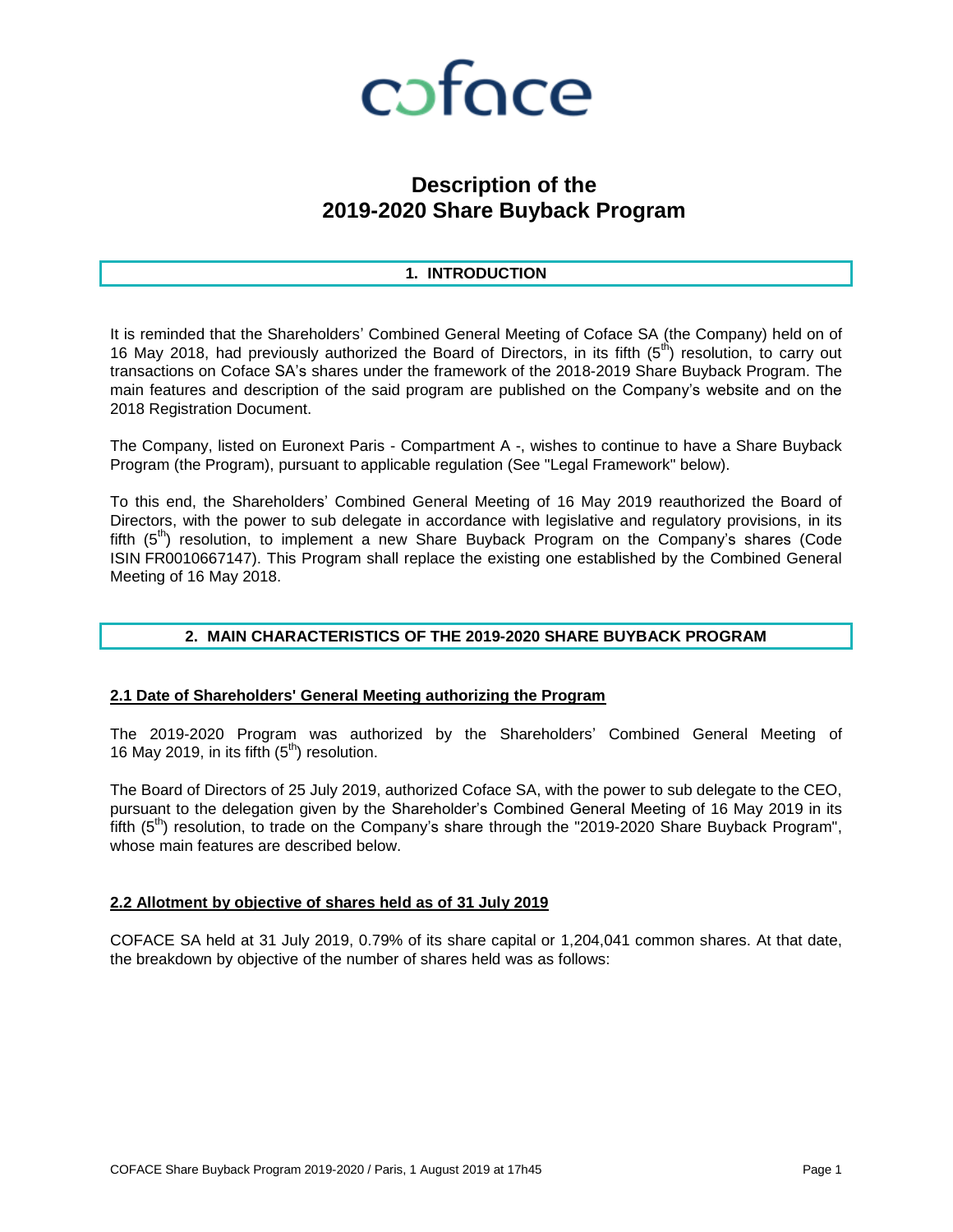

### **Description of the 2019-2020 Share Buyback Program**

#### **1. INTRODUCTION**

It is reminded that the Shareholders' Combined General Meeting of Coface SA (the Company) held on of 16 May 2018, had previously authorized the Board of Directors, in its fifth  $(5<sup>th</sup>)$  resolution, to carry out transactions on Coface SA's shares under the framework of the 2018-2019 Share Buyback Program. The main features and description of the said program are published on the Company's website and on the 2018 Registration Document.

The Company, listed on Euronext Paris - Compartment A -, wishes to continue to have a Share Buyback Program (the Program), pursuant to applicable regulation (See "Legal Framework" below).

To this end, the Shareholders' Combined General Meeting of 16 May 2019 reauthorized the Board of Directors, with the power to sub delegate in accordance with legislative and regulatory provisions, in its fifth  $(5<sup>th</sup>)$  resolution, to implement a new Share Buyback Program on the Company's shares (Code ISIN FR0010667147). This Program shall replace the existing one established by the Combined General Meeting of 16 May 2018.

#### **2. MAIN CHARACTERISTICS OF THE 2019-2020 SHARE BUYBACK PROGRAM**

#### **2.1 Date of Shareholders' General Meeting authorizing the Program**

The 2019-2020 Program was authorized by the Shareholders' Combined General Meeting of 16 May 2019, in its fifth  $(5<sup>th</sup>)$  resolution.

The Board of Directors of 25 July 2019, authorized Coface SA, with the power to sub delegate to the CEO, pursuant to the delegation given by the Shareholder's Combined General Meeting of 16 May 2019 in its fifth  $(5<sup>th</sup>)$  resolution, to trade on the Company's share through the "2019-2020 Share Buyback Program", whose main features are described below.

#### **2.2 Allotment by objective of shares held as of 31 July 2019**

COFACE SA held at 31 July 2019, 0.79% of its share capital or 1,204,041 common shares. At that date, the breakdown by objective of the number of shares held was as follows: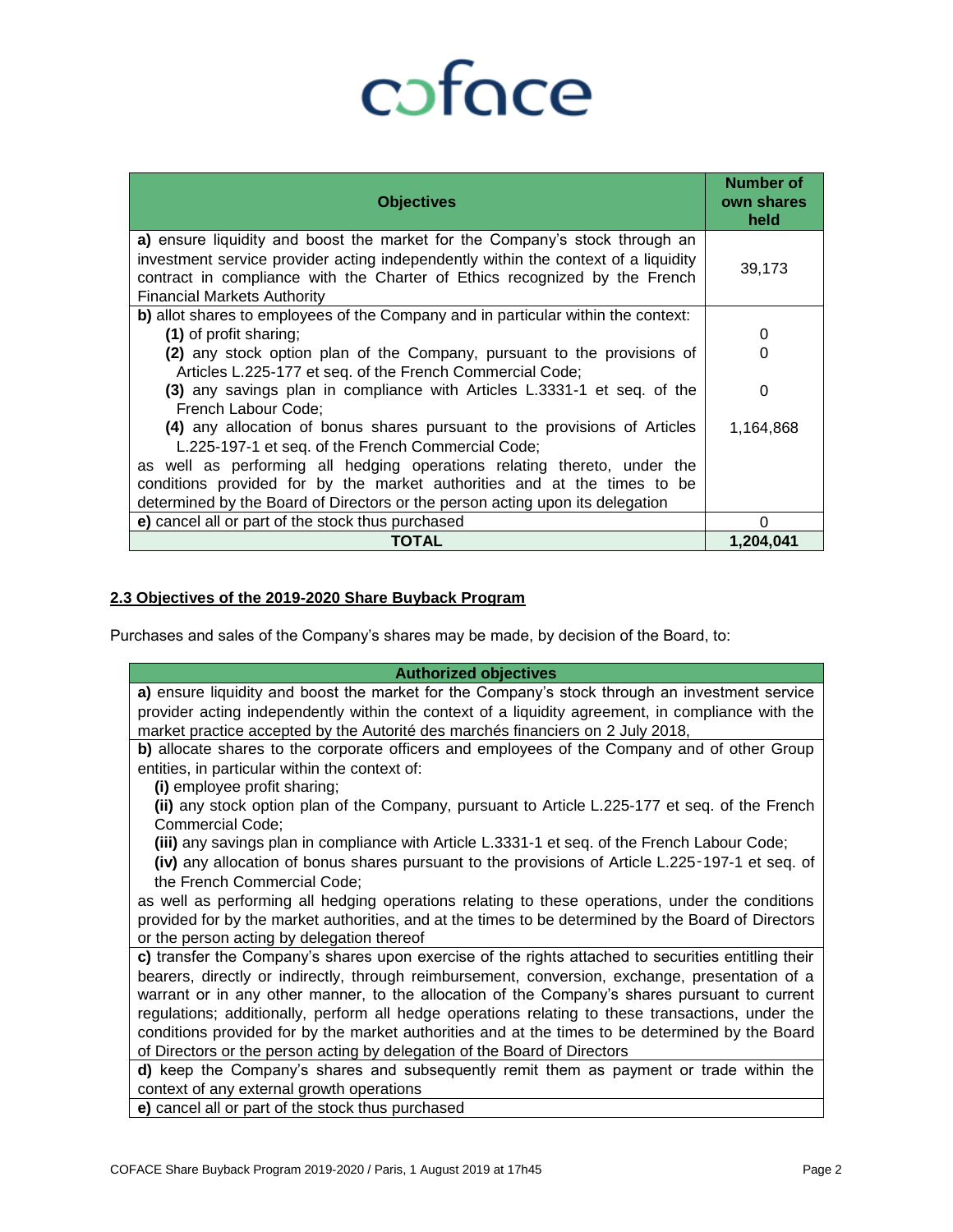# coface

| <b>Objectives</b>                                                                                                                                                                                                                                                                     | Number of<br>own shares<br>held |
|---------------------------------------------------------------------------------------------------------------------------------------------------------------------------------------------------------------------------------------------------------------------------------------|---------------------------------|
| a) ensure liquidity and boost the market for the Company's stock through an<br>investment service provider acting independently within the context of a liquidity<br>contract in compliance with the Charter of Ethics recognized by the French<br><b>Financial Markets Authority</b> | 39,173                          |
| b) allot shares to employees of the Company and in particular within the context:                                                                                                                                                                                                     |                                 |
| (1) of profit sharing;                                                                                                                                                                                                                                                                | 0                               |
| (2) any stock option plan of the Company, pursuant to the provisions of                                                                                                                                                                                                               | O                               |
| Articles L.225-177 et seq. of the French Commercial Code;                                                                                                                                                                                                                             |                                 |
| (3) any savings plan in compliance with Articles L.3331-1 et seq. of the<br>French Labour Code:                                                                                                                                                                                       | 0                               |
| (4) any allocation of bonus shares pursuant to the provisions of Articles<br>L.225-197-1 et seq. of the French Commercial Code;                                                                                                                                                       | 1,164,868                       |
| as well as performing all hedging operations relating thereto, under the                                                                                                                                                                                                              |                                 |
| conditions provided for by the market authorities and at the times to be                                                                                                                                                                                                              |                                 |
| determined by the Board of Directors or the person acting upon its delegation                                                                                                                                                                                                         |                                 |
| e) cancel all or part of the stock thus purchased                                                                                                                                                                                                                                     |                                 |
| TOTAL                                                                                                                                                                                                                                                                                 | 1.204.041                       |

#### **2.3 Objectives of the 2019-2020 Share Buyback Program**

Purchases and sales of the Company's shares may be made, by decision of the Board, to:

| <b>Authorized objectives</b>                                                                        |
|-----------------------------------------------------------------------------------------------------|
| a) ensure liquidity and boost the market for the Company's stock through an investment service      |
| provider acting independently within the context of a liquidity agreement, in compliance with the   |
| market practice accepted by the Autorité des marchés financiers on 2 July 2018,                     |
| b) allocate shares to the corporate officers and employees of the Company and of other Group        |
| entities, in particular within the context of:                                                      |
| (i) employee profit sharing;                                                                        |
| (ii) any stock option plan of the Company, pursuant to Article L.225-177 et seq. of the French      |
| <b>Commercial Code;</b>                                                                             |
| (iii) any savings plan in compliance with Article L.3331-1 et seq. of the French Labour Code;       |
| (iv) any allocation of bonus shares pursuant to the provisions of Article L.225-197-1 et seq. of    |
| the French Commercial Code;                                                                         |
| as well as performing all hedging operations relating to these operations, under the conditions     |
| provided for by the market authorities, and at the times to be determined by the Board of Directors |
| or the person acting by delegation thereof                                                          |
| c) transfer the Company's shares upon exercise of the rights attached to securities entitling their |
| bearers, directly or indirectly, through reimbursement, conversion, exchange, presentation of a     |
| warrant or in any other manner, to the allocation of the Company's shares pursuant to current       |
| regulations; additionally, perform all hedge operations relating to these transactions, under the   |
| conditions provided for by the market authorities and at the times to be determined by the Board    |
| of Directors or the person acting by delegation of the Board of Directors                           |
| d) keep the Company's shares and subsequently remit them as payment or trade within the             |
| context of any external growth operations                                                           |
| a) cancel off or part of the steak thus purchased                                                   |

**e)** cancel all or part of the stock thus purchased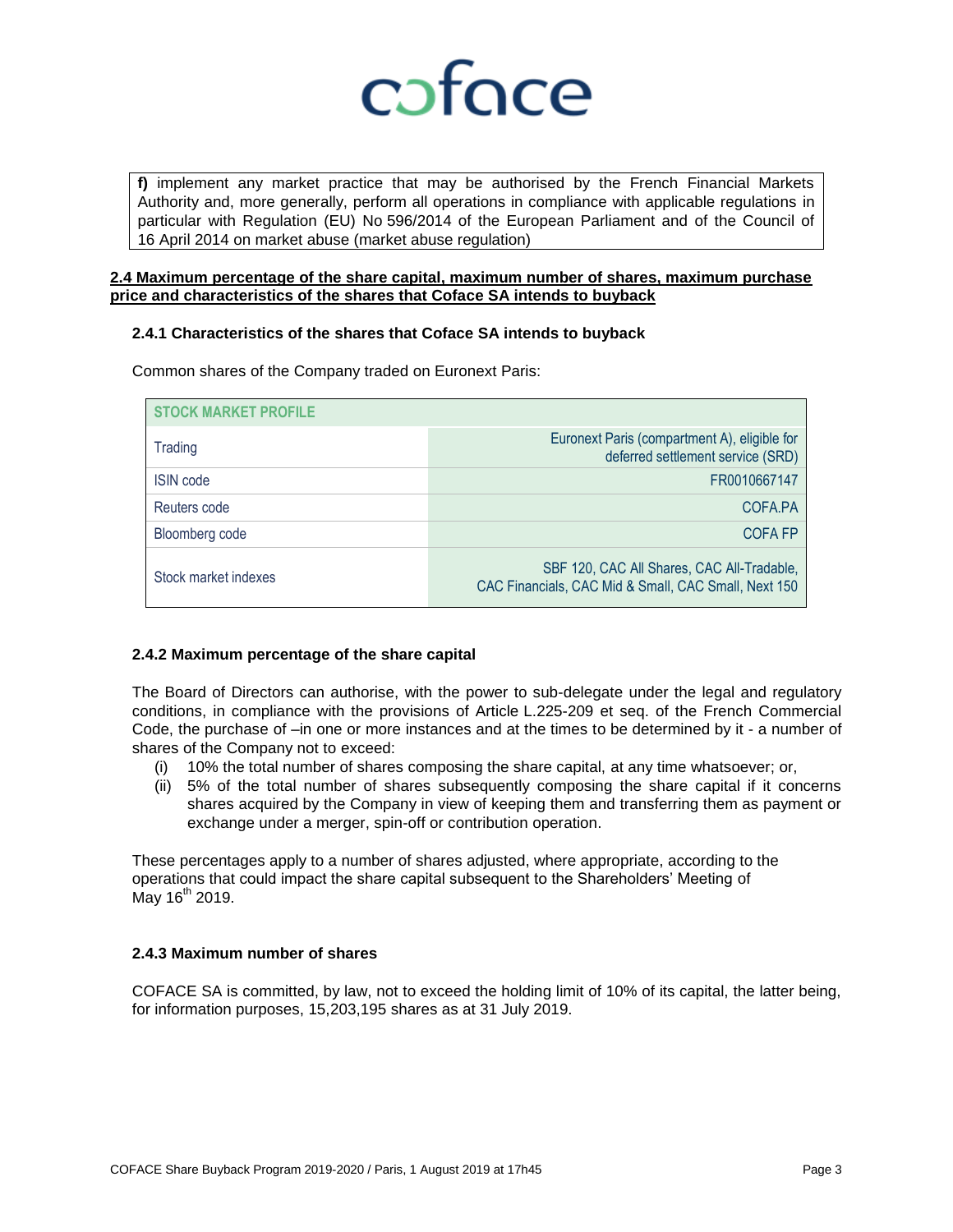

**f)** implement any market practice that may be authorised by the French Financial Markets Authority and, more generally, perform all operations in compliance with applicable regulations in particular with Regulation (EU) No 596/2014 of the European Parliament and of the Council of 16 April 2014 on market abuse (market abuse regulation)

#### **2.4 Maximum percentage of the share capital, maximum number of shares, maximum purchase price and characteristics of the shares that Coface SA intends to buyback**

#### **2.4.1 Characteristics of the shares that Coface SA intends to buyback**

| <b>STOCK MARKET PROFILE</b> |                                                                                                    |
|-----------------------------|----------------------------------------------------------------------------------------------------|
| Trading                     | Euronext Paris (compartment A), eligible for<br>deferred settlement service (SRD)                  |
| <b>ISIN</b> code            | FR0010667147                                                                                       |
| Reuters code                | COFA.PA                                                                                            |
| Bloomberg code              | <b>COFA FP</b>                                                                                     |
| Stock market indexes        | SBF 120, CAC All Shares, CAC All-Tradable,<br>CAC Financials, CAC Mid & Small, CAC Small, Next 150 |

Common shares of the Company traded on Euronext Paris:

#### **2.4.2 Maximum percentage of the share capital**

The Board of Directors can authorise, with the power to sub-delegate under the legal and regulatory conditions, in compliance with the provisions of Article L.225-209 et seq. of the French Commercial Code, the purchase of –in one or more instances and at the times to be determined by it - a number of shares of the Company not to exceed:

- (i) 10% the total number of shares composing the share capital, at any time whatsoever; or,
- (ii) 5% of the total number of shares subsequently composing the share capital if it concerns shares acquired by the Company in view of keeping them and transferring them as payment or exchange under a merger, spin-off or contribution operation.

These percentages apply to a number of shares adjusted, where appropriate, according to the operations that could impact the share capital subsequent to the Shareholders' Meeting of May 16<sup>th</sup> 2019.

#### **2.4.3 Maximum number of shares**

COFACE SA is committed, by law, not to exceed the holding limit of 10% of its capital, the latter being, for information purposes, 15,203,195 shares as at 31 July 2019.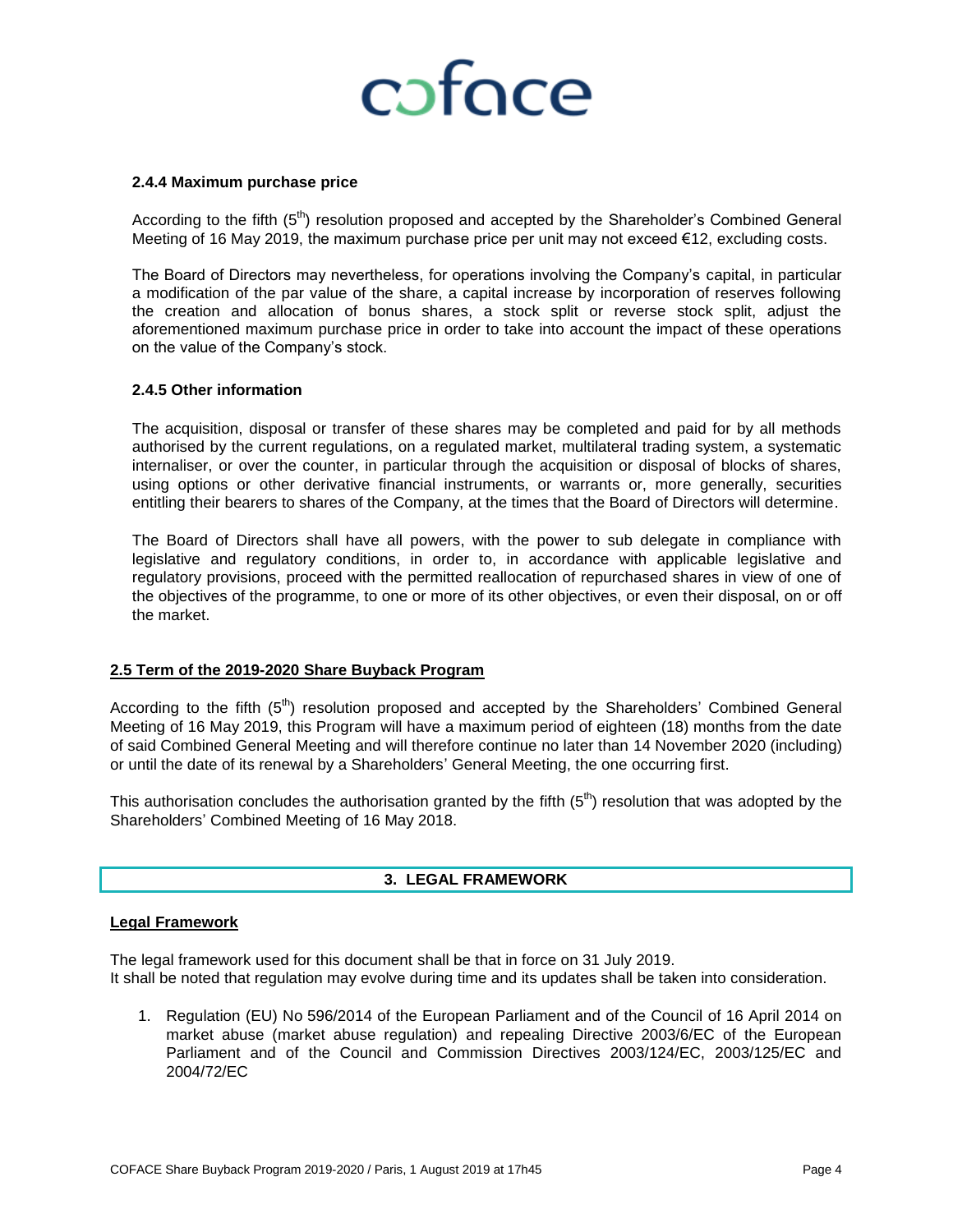## coface

#### **2.4.4 Maximum purchase price**

According to the fifth (5<sup>th</sup>) resolution proposed and accepted by the Shareholder's Combined General Meeting of 16 May 2019, the maximum purchase price per unit may not exceed €12, excluding costs.

The Board of Directors may nevertheless, for operations involving the Company's capital, in particular a modification of the par value of the share, a capital increase by incorporation of reserves following the creation and allocation of bonus shares, a stock split or reverse stock split, adjust the aforementioned maximum purchase price in order to take into account the impact of these operations on the value of the Company's stock.

#### **2.4.5 Other information**

The acquisition, disposal or transfer of these shares may be completed and paid for by all methods authorised by the current regulations, on a regulated market, multilateral trading system, a systematic internaliser, or over the counter, in particular through the acquisition or disposal of blocks of shares, using options or other derivative financial instruments, or warrants or, more generally, securities entitling their bearers to shares of the Company, at the times that the Board of Directors will determine.

The Board of Directors shall have all powers, with the power to sub delegate in compliance with legislative and regulatory conditions, in order to, in accordance with applicable legislative and regulatory provisions, proceed with the permitted reallocation of repurchased shares in view of one of the objectives of the programme, to one or more of its other objectives, or even their disposal, on or off the market.

#### **2.5 Term of the 2019-2020 Share Buyback Program**

According to the fifth  $(5<sup>th</sup>)$  resolution proposed and accepted by the Shareholders' Combined General Meeting of 16 May 2019, this Program will have a maximum period of eighteen (18) months from the date of said Combined General Meeting and will therefore continue no later than 14 November 2020 (including) or until the date of its renewal by a Shareholders' General Meeting, the one occurring first.

This authorisation concludes the authorisation granted by the fifth  $(5<sup>th</sup>)$  resolution that was adopted by the Shareholders' Combined Meeting of 16 May 2018.

#### **3. LEGAL FRAMEWORK**

#### **Legal Framework**

The legal framework used for this document shall be that in force on 31 July 2019. It shall be noted that regulation may evolve during time and its updates shall be taken into consideration.

1. Regulation (EU) No 596/2014 of the European Parliament and of the Council of 16 April 2014 on market abuse (market abuse regulation) and repealing Directive 2003/6/EC of the European Parliament and of the Council and Commission Directives 2003/124/EC, 2003/125/EC and 2004/72/EC